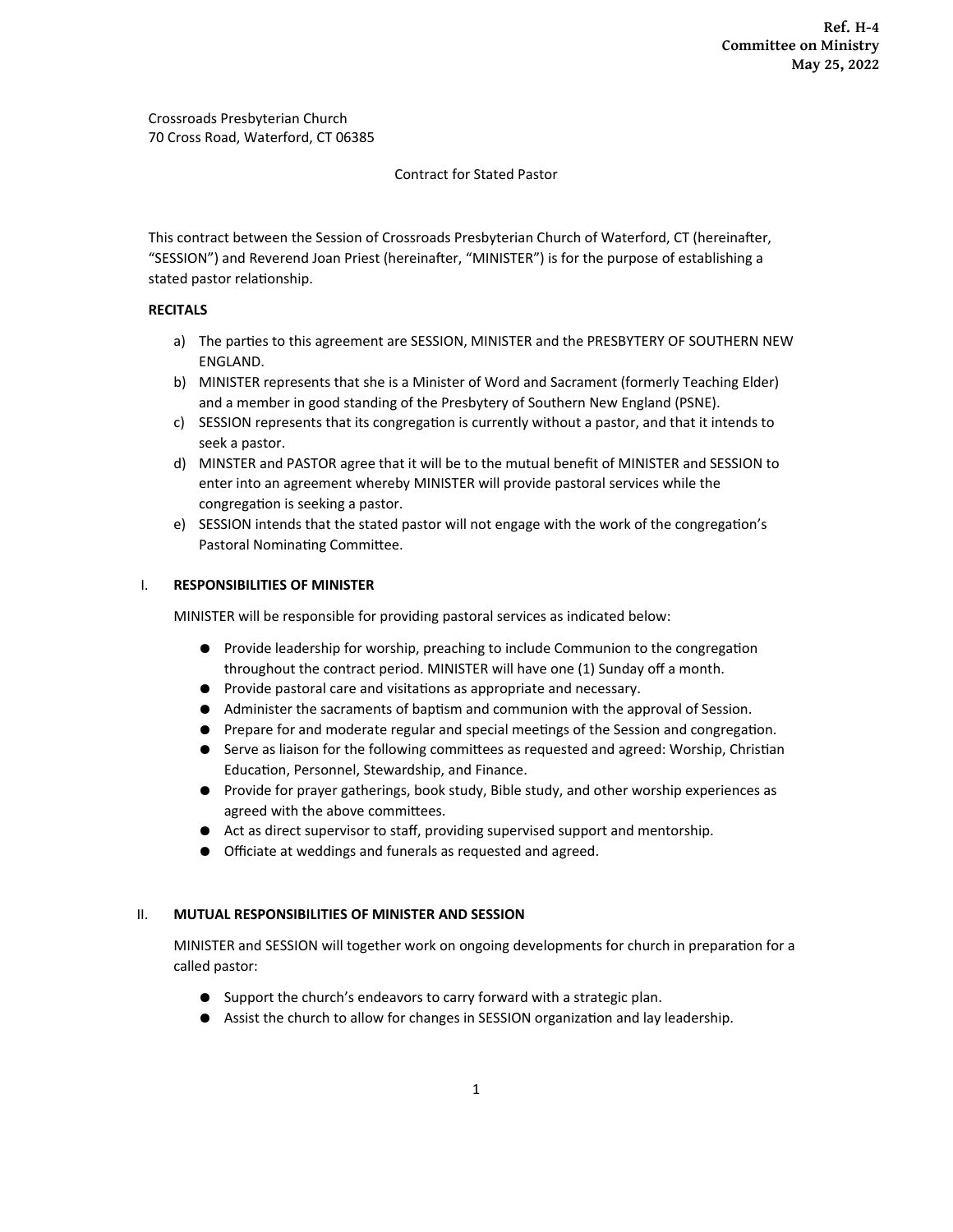#### Contract for Stated Pastor

This contract between the Session of Crossroads Presbyterian Church of Waterford, CT (hereinafter, "SESSION") and Reverend Joan Priest (hereinafter, "MINISTER") is for the purpose of establishing a stated pastor relationship.

## **RECITALS**

- a) The parties to this agreement are SESSION, MINISTER and the PRESBYTERY OF SOUTHERN NEW ENGLAND.
- b) MINISTER represents that she is a Minister of Word and Sacrament (formerly Teaching Elder) and a member in good standing of the Presbytery of Southern New England (PSNE).
- c) SESSION represents that its congregation is currently without a pastor, and that it intends to seek a pastor.
- d) MINSTER and PASTOR agree that it will be to the mutual benefit of MINISTER and SESSION to enter into an agreement whereby MINISTER will provide pastoral services while the congregation is seeking a pastor.
- e) SESSION intends that the stated pastor will not engage with the work of the congregation's Pastoral Nominating Committee.

### I. **RESPONSIBILITIES OF MINISTER**

MINISTER will be responsible for providing pastoral services as indicated below:

- Provide leadership for worship, preaching to include Communion to the congregation throughout the contract period. MINISTER will have one (1) Sunday off a month.
- Provide pastoral care and visitations as appropriate and necessary.
- Administer the sacraments of baptism and communion with the approval of Session.
- Prepare for and moderate regular and special meetings of the Session and congregation.
- Serve as liaison for the following committees as requested and agreed: Worship, Christian Education, Personnel, Stewardship, and Finance.
- Provide for prayer gatherings, book study, Bible study, and other worship experiences as agreed with the above committees.
- Act as direct supervisor to staff, providing supervised support and mentorship.
- Officiate at weddings and funerals as requested and agreed.

#### II. **MUTUAL RESPONSIBILITIES OF MINISTER AND SESSION**

MINISTER and SESSION will together work on ongoing developments for church in preparation for a called pastor:

- Support the church's endeavors to carry forward with a strategic plan.
- Assist the church to allow for changes in SESSION organization and lay leadership.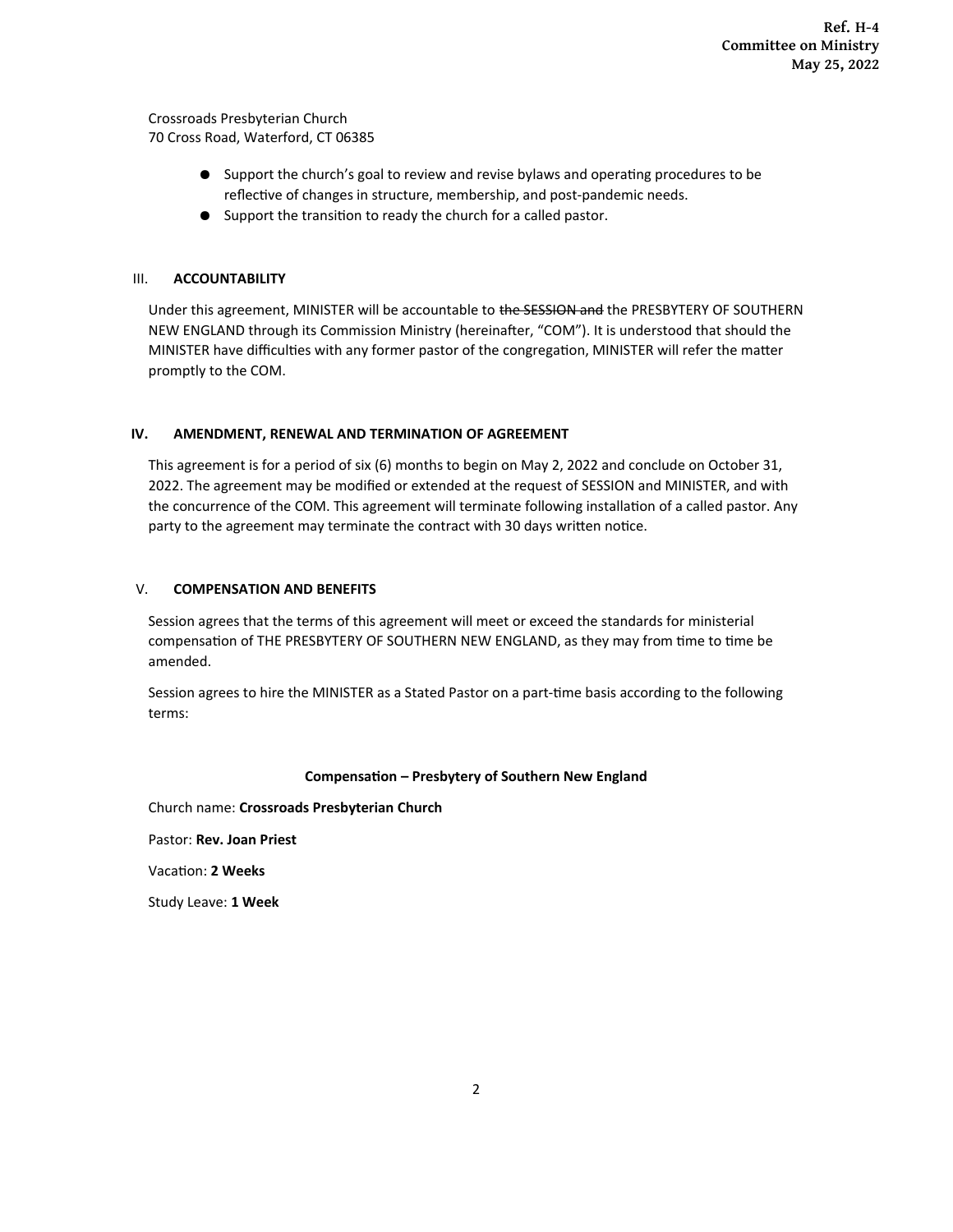- Support the church's goal to review and revise bylaws and operating procedures to be reflective of changes in structure, membership, and post-pandemic needs.
- Support the transition to ready the church for a called pastor.

## III. **ACCOUNTABILITY**

Under this agreement, MINISTER will be accountable to the SESSION and the PRESBYTERY OF SOUTHERN NEW ENGLAND through its Commission Ministry (hereinafter, "COM"). It is understood that should the MINISTER have difficulties with any former pastor of the congregation, MINISTER will refer the matter promptly to the COM.

# **IV. AMENDMENT, RENEWAL AND TERMINATION OF AGREEMENT**

This agreement is for a period of six (6) months to begin on May 2, 2022 and conclude on October 31, 2022. The agreement may be modified or extended at the request of SESSION and MINISTER, and with the concurrence of the COM. This agreement will terminate following installation of a called pastor. Any party to the agreement may terminate the contract with 30 days written notice.

## V. **COMPENSATION AND BENEFITS**

Session agrees that the terms of this agreement will meet or exceed the standards for ministerial compensation of THE PRESBYTERY OF SOUTHERN NEW ENGLAND, as they may from time to time be amended.

Session agrees to hire the MINISTER as a Stated Pastor on a part-time basis according to the following terms:

## **Compensation – Presbytery of Southern New England**

Church name: **Crossroads Presbyterian Church**

Pastor: **Rev. Joan Priest**

Vacation: **2 Weeks**

Study Leave: **1 Week**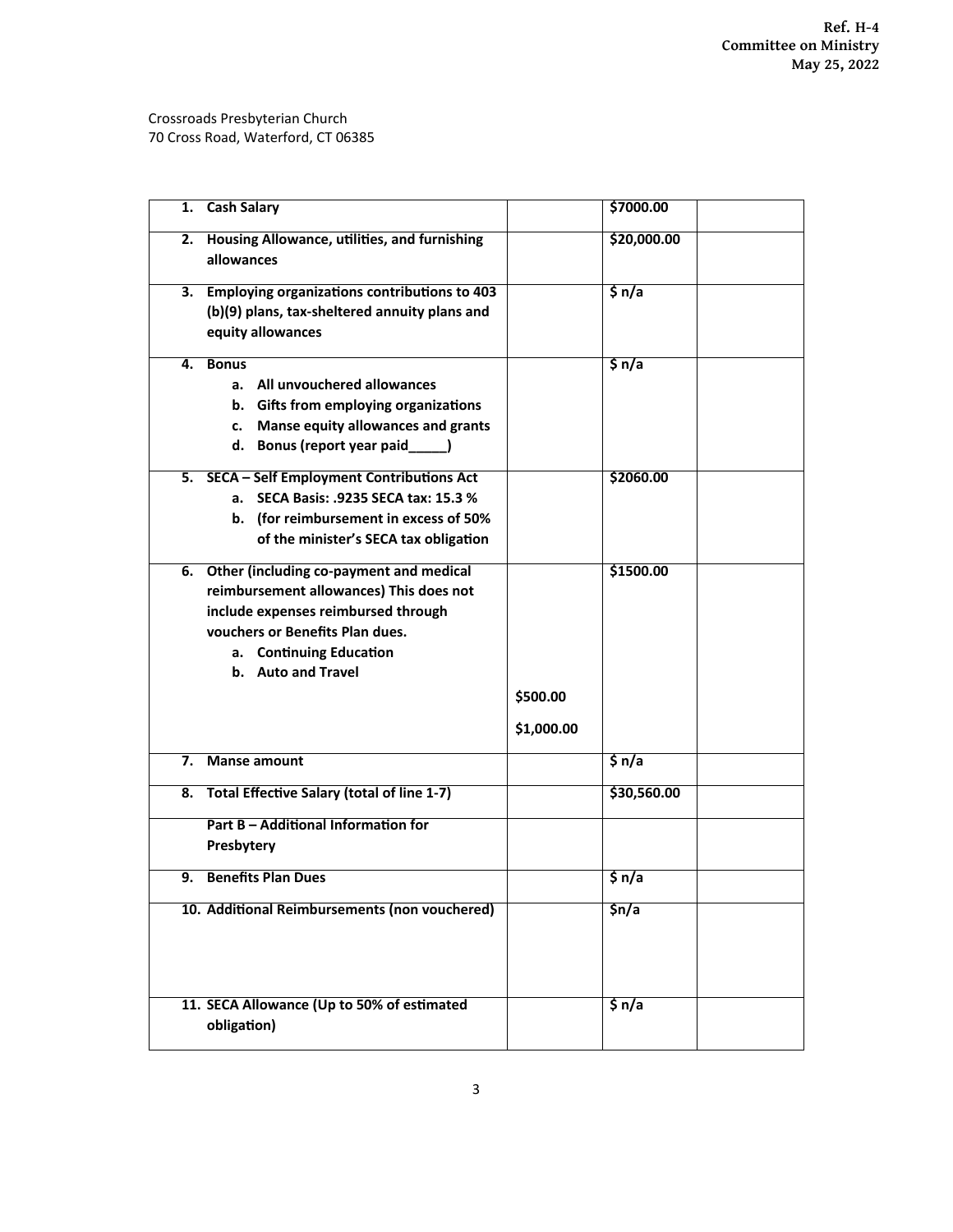| <b>Cash Salary</b><br>1.                                                                                                                                                                                         | \$7000.00                           |
|------------------------------------------------------------------------------------------------------------------------------------------------------------------------------------------------------------------|-------------------------------------|
| Housing Allowance, utilities, and furnishing<br>2.<br>allowances                                                                                                                                                 | \$20,000.00                         |
| 3. Employing organizations contributions to 403<br>(b)(9) plans, tax-sheltered annuity plans and<br>equity allowances                                                                                            | \$n/a                               |
| <b>Bonus</b><br>4.<br>a. All unvouchered allowances<br>b. Gifts from employing organizations<br>Manse equity allowances and grants<br>c.<br>d. Bonus (report year paid____)                                      | \$n/a                               |
| 5. SECA - Self Employment Contributions Act<br>a. SECA Basis: .9235 SECA tax: 15.3 %<br>b. (for reimbursement in excess of 50%<br>of the minister's SECA tax obligation                                          | \$2060.00                           |
| 6. Other (including co-payment and medical<br>reimbursement allowances) This does not<br>include expenses reimbursed through<br>vouchers or Benefits Plan dues.<br>a. Continuing Education<br>b. Auto and Travel | \$1500.00<br>\$500.00<br>\$1,000.00 |
| <b>Manse amount</b><br>7.                                                                                                                                                                                        | \$n/a                               |
| 8. Total Effective Salary (total of line 1-7)<br>Part B - Additional Information for<br>Presbytery                                                                                                               | \$30,560.00                         |
| <b>Benefits Plan Dues</b><br>9.                                                                                                                                                                                  | \$n/a                               |
| 10. Additional Reimbursements (non vouchered)                                                                                                                                                                    | $\frac{\zeta_n}{a}$                 |
| 11. SECA Allowance (Up to 50% of estimated<br>obligation)                                                                                                                                                        | \$n/a                               |